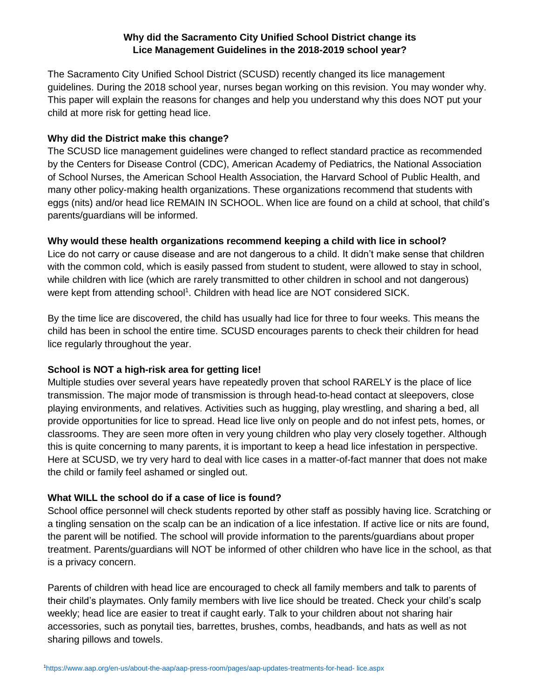## **Why did the Sacramento City Unified School District change its Lice Management Guidelines in the 2018-2019 school year?**

The Sacramento City Unified School District (SCUSD) recently changed its lice management guidelines. During the 2018 school year, nurses began working on this revision. You may wonder why. This paper will explain the reasons for changes and help you understand why this does NOT put your child at more risk for getting head lice.

#### **Why did the District make this change?**

The SCUSD lice management guidelines were changed to reflect standard practice as recommended by the Centers for Disease Control (CDC), American Academy of Pediatrics, the National Association of School Nurses, the American School Health Association, the Harvard School of Public Health, and many other policy-making health organizations. These organizations recommend that students with eggs (nits) and/or head lice REMAIN IN SCHOOL. When lice are found on a child at school, that child's parents/guardians will be informed.

#### **Why would these health organizations recommend keeping a child with lice in school?**

Lice do not carry or cause disease and are not dangerous to a child. It didn't make sense that children with the common cold, which is easily passed from student to student, were allowed to stay in school, while children with lice (which are rarely transmitted to other children in school and not dangerous) were kept from attending school<sup>1</sup>. Children with head lice are NOT considered SICK.

By the time lice are discovered, the child has usually had lice for three to four weeks. This means the child has been in school the entire time. SCUSD encourages parents to check their children for head lice regularly throughout the year.

### **School is NOT a high-risk area for getting lice!**

Multiple studies over several years have repeatedly proven that school RARELY is the place of lice transmission. The major mode of transmission is through head-to-head contact at sleepovers, close playing environments, and relatives. Activities such as hugging, play wrestling, and sharing a bed, all provide opportunities for lice to spread. Head lice live only on people and do not infest pets, homes, or classrooms. They are seen more often in very young children who play very closely together. Although this is quite concerning to many parents, it is important to keep a head lice infestation in perspective. Here at SCUSD, we try very hard to deal with lice cases in a matter-of-fact manner that does not make the child or family feel ashamed or singled out.

### **What WILL the school do if a case of lice is found?**

School office personnel will check students reported by other staff as possibly having lice. Scratching or a tingling sensation on the scalp can be an indication of a lice infestation. If active lice or nits are found, the parent will be notified. The school will provide information to the parents/guardians about proper treatment. Parents/guardians will NOT be informed of other children who have lice in the school, as that is a privacy concern.

Parents of children with head lice are encouraged to check all family members and talk to parents of their child's playmates. Only family members with live lice should be treated. Check your child's scalp weekly; head lice are easier to treat if caught early. Talk to your children about not sharing hair accessories, such as ponytail ties, barrettes, brushes, combs, headbands, and hats as well as not sharing pillows and towels.